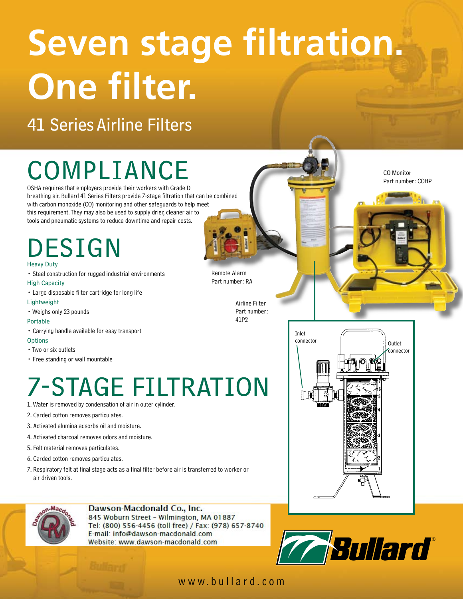# **Seven stage filtration. One filter.**

### 41 Series Airline Filters

# COMPLIANCE

OSHA requires that employers provide their workers with Grade D breathing air. Bullard 41 Series Filters provide 7-stage filtration that can be combined with carbon monoxide (CO) monitoring and other safeguards to help meet this requirement. They may also be used to supply drier, cleaner air to tools and pneumatic systems to reduce downtime and repair costs.

### DESIGN Heavy Duty

• Steel construction for rugged industrial environments High Capacity

• Large disposable filter cartridge for long life

### Lightweight

• Weighs only 23 pounds

#### Portable

• Carrying handle available for easy transport

#### **Options**

- Two or six outlets
- Free standing or wall mountable

## 7-STAGE FILTRATION

- 1. Water is removed by condensation of air in outer cylinder.
- 2. Carded cotton removes particulates.
- 3. Activated alumina adsorbs oil and moisture.
- 4. Activated charcoal removes odors and moisture.
- 5. Felt material removes particulates.
- 6. Carded cotton removes particulates.
- 7. Respiratory felt at final stage acts as a final filter before air is transferred to worker or air driven tools.



### Dawson-Macdonald Co., Inc.

845 Woburn Street - Wilmington, MA 01887 Tel: (800) 556-4456 (toll free) / Fax: (978) 657-8740 E-mail: info@dawson-macdonald.com Website: www.dawson-macdonald.com





Remote Alarm Part number: RA

> Airline Filter Part number: 41P2

CO Monitor Part number: COHP

www.bullard.com